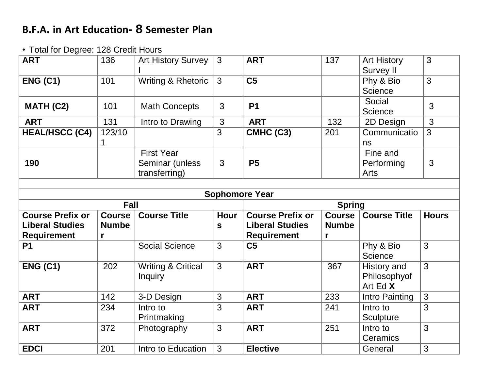## **B.F.A. in Art Education- 8 Semester Plan**

## • Total for Degree: 128 Credit Hours

| <b>ART</b>                      | 136               | <b>Art History Survey</b>                             | 3            | <b>ART</b>                           | 137               | <b>Art History</b><br><b>Survey II</b>  | 3              |  |
|---------------------------------|-------------------|-------------------------------------------------------|--------------|--------------------------------------|-------------------|-----------------------------------------|----------------|--|
| <b>ENG (C1)</b>                 | 101               | Writing & Rhetoric                                    | 3            | C <sub>5</sub>                       |                   | Phy & Bio<br><b>Science</b>             | $\overline{3}$ |  |
| MATH (C2)                       | 101               | <b>Math Concepts</b>                                  | $\mathbf{3}$ | <b>P1</b>                            |                   | Social<br><b>Science</b>                | 3              |  |
| <b>ART</b>                      | 131               | Intro to Drawing                                      | 3            | <b>ART</b>                           | 132               | 2D Design                               | $\mathbf{3}$   |  |
| <b>HEAL/HSCC (C4)</b>           | 123/10<br>1       |                                                       | 3            | CMHC (C3)                            | 201               | Communicatio<br>ns                      | 3              |  |
| 190                             |                   | <b>First Year</b><br>Seminar (unless<br>transferring) | 3            | <b>P5</b>                            |                   | Fine and<br>Performing<br>Arts          | 3              |  |
|                                 |                   |                                                       |              |                                      |                   |                                         |                |  |
| <b>Sophomore Year</b>           |                   |                                                       |              |                                      |                   |                                         |                |  |
|                                 |                   |                                                       |              |                                      |                   |                                         |                |  |
|                                 | <b>Fall</b>       |                                                       |              |                                      | <b>Spring</b>     |                                         |                |  |
| <b>Course Prefix or</b>         | <b>Course</b>     | <b>Course Title</b>                                   | <b>Hour</b>  | <b>Course Prefix or</b>              | <b>Course</b>     | <b>Course Title</b>                     | <b>Hours</b>   |  |
| <b>Liberal Studies</b>          | <b>Numbe</b><br>r |                                                       | $\mathbf{s}$ | <b>Liberal Studies</b>               | <b>Numbe</b><br>r |                                         |                |  |
| <b>Requirement</b><br><b>P1</b> |                   | <b>Social Science</b>                                 | 3            | <b>Requirement</b><br>C <sub>5</sub> |                   | Phy & Bio<br><b>Science</b>             | $\overline{3}$ |  |
| <b>ENG (C1)</b>                 | 202               | <b>Writing &amp; Critical</b><br><b>Inquiry</b>       | 3            | <b>ART</b>                           | 367               | History and<br>Philosophyof<br>Art Ed X | $\overline{3}$ |  |
| <b>ART</b>                      | 142               | 3-D Design                                            | 3            | <b>ART</b>                           | 233               | Intro Painting                          | 3              |  |
| <b>ART</b>                      | 234               | Intro to<br>Printmaking                               | 3            | <b>ART</b>                           | 241               | Intro to<br>Sculpture                   | 3              |  |
| <b>ART</b>                      | 372               | Photography                                           | 3            | <b>ART</b>                           | 251               | Intro to<br>Ceramics                    | 3              |  |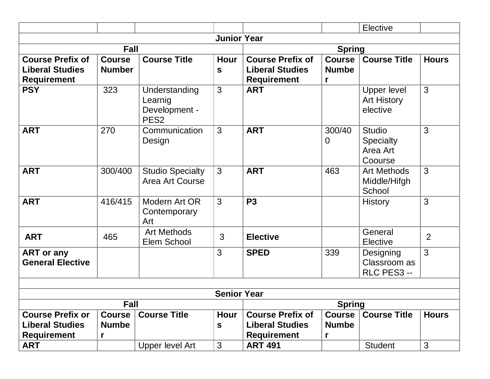|                                                                         |                                    |                                                               |                      |                                                                         |                                    | Elective                                          |                |
|-------------------------------------------------------------------------|------------------------------------|---------------------------------------------------------------|----------------------|-------------------------------------------------------------------------|------------------------------------|---------------------------------------------------|----------------|
|                                                                         |                                    |                                                               | <b>Junior Year</b>   |                                                                         |                                    |                                                   |                |
| <b>Fall</b>                                                             |                                    |                                                               |                      | <b>Spring</b>                                                           |                                    |                                                   |                |
| <b>Course Prefix of</b><br><b>Liberal Studies</b><br><b>Requirement</b> | <b>Course</b><br><b>Number</b>     | <b>Course Title</b>                                           | Hour<br>$\mathbf{s}$ | <b>Course Prefix of</b><br><b>Liberal Studies</b><br><b>Requirement</b> | Course<br><b>Numbe</b><br>r        | <b>Course Title</b>                               | <b>Hours</b>   |
| <b>PSY</b>                                                              | 323                                | Understanding<br>Learnig<br>Development -<br>PES <sub>2</sub> | 3                    | <b>ART</b>                                                              |                                    | Upper level<br><b>Art History</b><br>elective     | 3              |
| <b>ART</b>                                                              | 270                                | Communication<br>Design                                       | 3                    | <b>ART</b>                                                              | 300/40<br>$\overline{0}$           | <b>Studio</b><br>Specialty<br>Area Art<br>Coourse | 3              |
| <b>ART</b>                                                              | 300/400                            | <b>Studio Specialty</b><br>Area Art Course                    | 3                    | <b>ART</b>                                                              | 463                                | <b>Art Methods</b><br>Middle/Hifgh<br>School      | 3              |
| <b>ART</b>                                                              | 416/415                            | Modern Art OR<br>Contemporary<br>Art                          | 3                    | <b>P3</b>                                                               |                                    | <b>History</b>                                    | 3              |
| <b>ART</b>                                                              | 465                                | <b>Art Methods</b><br>Elem School                             | 3                    | <b>Elective</b>                                                         |                                    | General<br>Elective                               | $\overline{2}$ |
| <b>ART</b> or any<br><b>General Elective</b>                            |                                    |                                                               | 3                    | <b>SPED</b>                                                             | 339                                | Designing<br>Classroom as<br>RLC PES3 --          | 3              |
|                                                                         |                                    |                                                               |                      |                                                                         |                                    |                                                   |                |
|                                                                         |                                    |                                                               | <b>Senior Year</b>   |                                                                         |                                    |                                                   |                |
| Fall                                                                    |                                    |                                                               |                      | <b>Spring</b>                                                           |                                    |                                                   |                |
| <b>Course Prefix or</b><br><b>Liberal Studies</b><br><b>Requirement</b> | <b>Course</b><br><b>Numbe</b><br>r | <b>Course Title</b>                                           | Hour<br>$\mathbf{s}$ | <b>Course Prefix of</b><br><b>Liberal Studies</b><br><b>Requirement</b> | <b>Course</b><br><b>Numbe</b><br>r | <b>Course Title</b>                               | <b>Hours</b>   |
| <b>ART</b>                                                              |                                    | <b>Upper level Art</b>                                        | $\mathfrak{S}$       | <b>ART 491</b>                                                          |                                    | <b>Student</b>                                    | 3              |